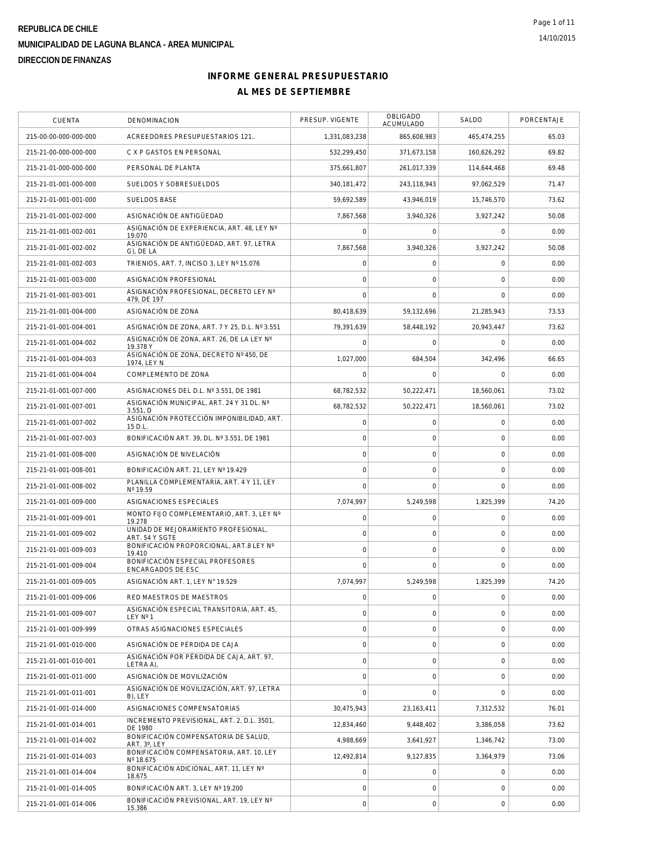| CUENTA                | DENOMINACION                                          | PRESUP. VIGENTE     | <b>OBLIGADO</b><br><b>ACUMULADO</b> | SALDO               | PORCENTAJE |
|-----------------------|-------------------------------------------------------|---------------------|-------------------------------------|---------------------|------------|
| 215-00-00-000-000-000 | ACREEDORES PRESUPUESTARIOS 121                        | 1,331,083,238       | 865,608,983                         | 465,474,255         | 65.03      |
| 215-21-00-000-000-000 | C X P GASTOS EN PERSONAL                              | 532,299,450         | 371,673,158                         | 160,626,292         | 69.82      |
| 215-21-01-000-000-000 | PERSONAL DE PLANTA                                    | 375,661,807         | 261,017,339                         | 114,644,468         | 69.48      |
| 215-21-01-001-000-000 | SUELDOS Y SOBRESUELDOS                                | 340, 181, 472       | 243,118,943                         | 97,062,529          | 71.47      |
| 215-21-01-001-001-000 | <b>SUELDOS BASE</b>                                   | 59,692,589          | 43,946,019                          | 15,746,570          | 73.62      |
| 215-21-01-001-002-000 | ASIGNACIÓN DE ANTIGÜEDAD                              | 7,867,568           | 3,940,326                           | 3,927,242           | 50.08      |
| 215-21-01-001-002-001 | ASIGNACIÓN DE EXPERIENCIA, ART. 48, LEY Nº<br>19.070  | $\mathbf 0$         | $\mathbf 0$                         | $\mathbf 0$         | 0.00       |
| 215-21-01-001-002-002 | ASIGNACIÓN DE ANTIGÜEDAD, ART. 97, LETRA<br>G), DE LA | 7,867,568           | 3,940,326                           | 3,927,242           | 50.08      |
| 215-21-01-001-002-003 | TRIENIOS, ART. 7, INCISO 3, LEY Nº 15.076             | $\mathsf{O}\xspace$ | $\mathsf{O}\xspace$                 | $\mathbf 0$         | 0.00       |
| 215-21-01-001-003-000 | ASIGNACIÓN PROFESIONAL                                | $\mathbf 0$         | $\mathbf 0$                         | 0                   | 0.00       |
| 215-21-01-001-003-001 | ASIGNACIÓN PROFESIONAL, DECRETO LEY Nº<br>479, DE 197 | $\mathbf 0$         | $\mathbf 0$                         | $\mathbf 0$         | 0.00       |
| 215-21-01-001-004-000 | ASIGNACIÓN DE ZONA                                    | 80,418,639          | 59,132,696                          | 21,285,943          | 73.53      |
| 215-21-01-001-004-001 | ASIGNACIÓN DE ZONA, ART. 7 Y 25, D.L. Nº 3.551        | 79,391,639          | 58,448,192                          | 20,943,447          | 73.62      |
| 215-21-01-001-004-002 | ASIGNACIÓN DE ZONA, ART. 26, DE LA LEY Nº<br>19.378 Y | $\Omega$            | $\Omega$                            | $\mathbf 0$         | 0.00       |
| 215-21-01-001-004-003 | ASIGNACIÓN DE ZONA, DECRETO Nº 450, DE<br>1974, LEY N | 1,027,000           | 684,504                             | 342,496             | 66.65      |
| 215-21-01-001-004-004 | COMPLEMENTO DE ZONA                                   | $\mathbf 0$         | $\Omega$                            | $\mathbf 0$         | 0.00       |
| 215-21-01-001-007-000 | ASIGNACIONES DEL D.L. Nº 3.551. DE 1981               | 68,782,532          | 50,222,471                          | 18.560.061          | 73.02      |
| 215-21-01-001-007-001 | ASIGNACIÓN MUNICIPAL, ART. 24 Y 31 DL. Nº<br>3.551. D | 68,782,532          | 50,222,471                          | 18,560,061          | 73.02      |
| 215-21-01-001-007-002 | ASIGNACIÓN PROTECCIÓN IMPONIBILIDAD, ART.<br>15 D.L.  | $\circ$             | $\mathbf 0$                         | $\mathbf 0$         | 0.00       |
| 215-21-01-001-007-003 | BONIFICACIÓN ART. 39, DL. Nº 3.551, DE 1981           | $\mathsf{O}\xspace$ | $\mathbf 0$                         | $\mathbf 0$         | 0.00       |
| 215-21-01-001-008-000 | ASIGNACIÓN DE NIVELACIÓN                              | $\circ$             | $\mathsf O$                         | $\mathbf 0$         | 0.00       |
| 215-21-01-001-008-001 | BONIFICACIÓN ART. 21, LEY Nº 19.429                   | $\mathbf 0$         | $\mathbf 0$                         | $\mathbf 0$         | 0.00       |
| 215-21-01-001-008-002 | PLANILLA COMPLEMENTARIA, ART. 4 Y 11, LEY<br>Nº 19.59 | $\Omega$            | $\Omega$                            | $\mathbf 0$         | 0.00       |
| 215-21-01-001-009-000 | ASIGNACIONES ESPECIALES                               | 7,074,997           | 5,249,598                           | 1,825,399           | 74.20      |
| 215-21-01-001-009-001 | MONTO FIJO COMPLEMENTARIO, ART. 3, LEY Nº<br>19.278   | $\mathsf{O}\xspace$ | $\mathbf 0$                         | $\mathbf 0$         | 0.00       |
| 215-21-01-001-009-002 | UNIDAD DE MEJORAMIENTO PROFESIONAL,<br>ART. 54 Y SGTE | $\circ$             | $\mathbf 0$                         | $\mathbf 0$         | 0.00       |
| 215-21-01-001-009-003 | BONIFICACIÓN PROPORCIONAL, ART.8 LEY Nº<br>19.410     | $\mathsf{O}\xspace$ | $\mathsf{O}\xspace$                 | $\mathbf 0$         | 0.00       |
| 215-21-01-001-009-004 | BONIFICACIÓN ESPECIAL PROFESORES<br>ENCARGADOS DE ESC | $\Omega$            | $\Omega$                            | $\mathbf 0$         | 0.00       |
| 215-21-01-001-009-005 | ASIGNACIÓN ART. 1, LEY Nº 19.529                      | 7,074,997           | 5,249,598                           | 1,825,399           | 74.20      |
| 215-21-01-001-009-006 | RED MAESTROS DE MAESTROS                              | 0                   | $\mathsf O$                         | $\mathsf{O}\xspace$ | 0.00       |
| 215-21-01-001-009-007 | ASIGNACIÓN ESPECIAL TRANSITORIA, ART. 45,<br>LEY Nº 1 | $\mathbf 0$         | $\mathsf O$                         | $\mathbf 0$         | 0.00       |
| 215-21-01-001-009-999 | OTRAS ASIGNACIONES ESPECIALES                         | $\mathsf{O}\xspace$ | $\mathbf 0$                         | $\mathbf 0$         | 0.00       |
| 215-21-01-001-010-000 | ASIGNACIÓN DE PÉRDIDA DE CAJA                         | $\circ$             | $\mathsf O$                         | $\mathbf 0$         | 0.00       |
| 215-21-01-001-010-001 | ASIGNACIÓN POR PÉRDIDA DE CAJA, ART. 97.<br>LETRA A), | $\mathsf{O}\xspace$ | $\mathbf 0$                         | $\mathsf{O}\xspace$ | 0.00       |
| 215-21-01-001-011-000 | ASIGNACIÓN DE MOVILIZACIÓN                            | $\circ$             | $\mathbf 0$                         | $\mathbf 0$         | 0.00       |
| 215-21-01-001-011-001 | ASIGNACIÓN DE MOVILIZACIÓN, ART. 97, LETRA<br>B), LEY | $\mathbf 0$         | $\mathbf 0$                         | $\Omega$            | 0.00       |
| 215-21-01-001-014-000 | ASIGNACIONES COMPENSATORIAS                           | 30,475,943          | 23,163,411                          | 7,312,532           | 76.01      |
| 215-21-01-001-014-001 | INCREMENTO PREVISIONAL, ART. 2, D.L. 3501,<br>DE 1980 | 12,834,460          | 9,448,402                           | 3,386,058           | 73.62      |
| 215-21-01-001-014-002 | BONIFICACIÓN COMPENSATORIA DE SALUD,<br>ART. 3°, LEY  | 4,988,669           | 3,641,927                           | 1,346,742           | 73.00      |
| 215-21-01-001-014-003 | BONIFICACIÓN COMPENSATORIA, ART. 10, LEY<br>Nº 18.675 | 12,492,814          | 9,127,835                           | 3,364,979           | 73.06      |
| 215-21-01-001-014-004 | BONIFICACIÓN ADICIONAL, ART. 11, LEY Nº<br>18.675     | $\mathbf 0$         | $\mathbf 0$                         | 0                   | 0.00       |
| 215-21-01-001-014-005 | BONIFICACIÓN ART. 3, LEY Nº 19.200                    | $\mathsf{O}\xspace$ | $\mathbf 0$                         | $\overline{0}$      | 0.00       |
| 215-21-01-001-014-006 | BONIFICACIÓN PREVISIONAL, ART. 19, LEY Nº<br>15.386   | $\mathbf 0$         | $\mathsf O$                         | $\mathbf 0$         | 0.00       |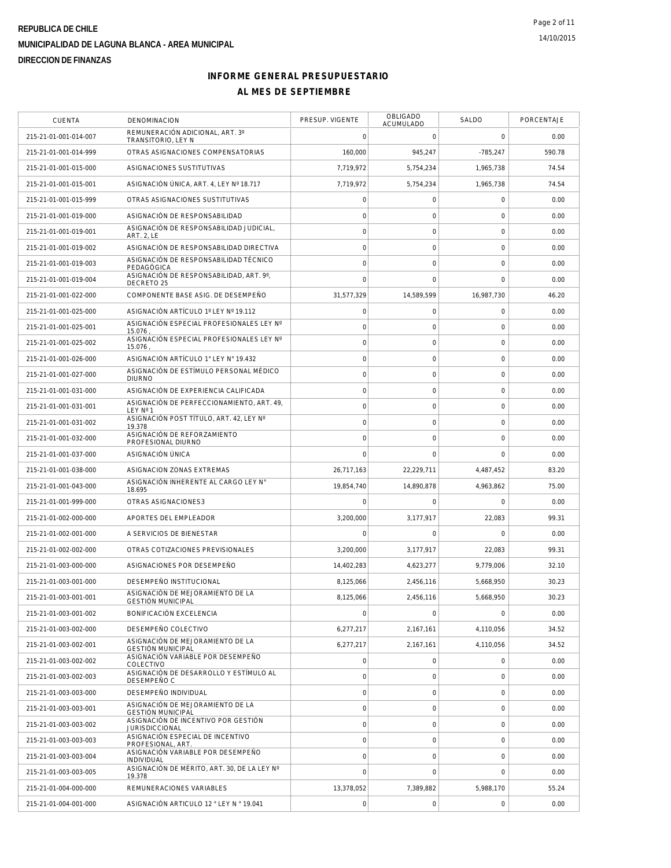| <b>CUENTA</b>         | DENOMINACION                                                 | PRESUP. VIGENTE | OBLIGADO<br>ACUMULADO | SALDO          | PORCENTAJE |
|-----------------------|--------------------------------------------------------------|-----------------|-----------------------|----------------|------------|
| 215-21-01-001-014-007 | REMUNERACIÓN ADICIONAL, ART. 3°<br>TRANSITORIO, LEY N        | $\mathbf 0$     | $\mathbf 0$           | $\mathbf 0$    | 0.00       |
| 215-21-01-001-014-999 | OTRAS ASIGNACIONES COMPENSATORIAS                            | 160,000         | 945,247               | $-785,247$     | 590.78     |
| 215-21-01-001-015-000 | ASIGNACIONES SUSTITUTIVAS                                    | 7,719,972       | 5.754.234             | 1.965.738      | 74.54      |
| 215-21-01-001-015-001 | ASIGNACIÓN ÚNICA, ART. 4, LEY Nº 18.717                      | 7,719,972       | 5,754,234             | 1.965.738      | 74.54      |
| 215-21-01-001-015-999 | OTRAS ASIGNACIONES SUSTITUTIVAS                              | $\mathbf 0$     | $\mathbf 0$           | $\mathbf 0$    | 0.00       |
| 215-21-01-001-019-000 | ASIGNACIÓN DE RESPONSABILIDAD                                | $\mathbf 0$     | $\mathbf 0$           | $\mathbf 0$    | 0.00       |
| 215-21-01-001-019-001 | ASIGNACIÓN DE RESPONSABILIDAD JUDICIAL,<br><b>ART. 2, LE</b> | $\circ$         | $\mathsf{O}\xspace$   | $\mathbf 0$    | 0.00       |
| 215-21-01-001-019-002 | ASIGNACIÓN DE RESPONSABILIDAD DIRECTIVA                      | $\mathbf 0$     | $\mathsf O$           | 0              | 0.00       |
| 215-21-01-001-019-003 | ASIGNACIÓN DE RESPONSABILIDAD TÉCNICO<br>PEDAGÓGICA          | $\circ$         | $\mathbf 0$           | $\mathbf 0$    | 0.00       |
| 215-21-01-001-019-004 | ASIGNACIÓN DE RESPONSABILIDAD, ART. 9°,<br>DECRETO 25        | $\mathbf 0$     | $\mathbf 0$           | $\mathbf 0$    | 0.00       |
| 215-21-01-001-022-000 | COMPONENTE BASE ASIG. DE DESEMPEÑO                           | 31,577,329      | 14,589,599            | 16,987,730     | 46.20      |
| 215-21-01-001-025-000 | ASIGNACIÓN ARTÍCULO 1º LEY Nº 19.112                         | $\circ$         | $\mathsf{O}\xspace$   | $\mathbf 0$    | 0.00       |
| 215-21-01-001-025-001 | ASIGNACIÓN ESPECIAL PROFESIONALES LEY Nº<br>15.076.          | $\mathbf 0$     | $\mathbf 0$           | $\mathbf 0$    | 0.00       |
| 215-21-01-001-025-002 | ASIGNACIÓN ESPECIAL PROFESIONALES LEY Nº<br>15.076           | $\circ$         | $\mathbf 0$           | $\mathbf 0$    | 0.00       |
| 215-21-01-001-026-000 | ASIGNACIÓN ARTÍCULO 1° LEY N° 19.432                         | $\mathbf 0$     | $\mathsf O$           | $\mathbf 0$    | 0.00       |
| 215-21-01-001-027-000 | ASIGNACIÓN DE ESTÍMULO PERSONAL MÉDICO<br><b>DIURNO</b>      | $\circ$         | $\mathbf 0$           | $\mathbf 0$    | 0.00       |
| 215-21-01-001-031-000 | ASIGNACIÓN DE EXPERIENCIA CALIFICADA                         | $\mathbf 0$     | $\mathbf 0$           | 0              | 0.00       |
| 215-21-01-001-031-001 | ASIGNACIÓN DE PERFECCIONAMIENTO, ART. 49.<br>LEY N° 1        | $\mathbf 0$     | $\mathbf 0$           | $\mathbf 0$    | 0.00       |
| 215-21-01-001-031-002 | ASIGNACIÓN POST TÍTULO, ART. 42, LEY Nº<br>19.378            | $\circ$         | $\mathbf 0$           | $\mathbf 0$    | 0.00       |
| 215-21-01-001-032-000 | ASIGNACIÓN DE REFORZAMIENTO<br>PROFESIONAL DIURNO            | $\mathbf 0$     | $\mathbf 0$           | $\mathbf 0$    | 0.00       |
| 215-21-01-001-037-000 | ASIGNACIÓN ÚNICA                                             | $\mathbf 0$     | $\mathbf 0$           | $\overline{0}$ | 0.00       |
| 215-21-01-001-038-000 | ASIGNACION ZONAS EXTREMAS                                    | 26,717,163      | 22,229,711            | 4,487,452      | 83.20      |
| 215-21-01-001-043-000 | ASIGNACIÓN INHERENTE AL CARGO LEY N°<br>18.695               | 19,854,740      | 14,890,878            | 4,963,862      | 75.00      |
| 215-21-01-001-999-000 | OTRAS ASIGNACIONES3                                          | $\mathbf 0$     | $\mathbf 0$           | $\Omega$       | 0.00       |
| 215-21-01-002-000-000 | APORTES DEL EMPLEADOR                                        | 3,200,000       | 3,177,917             | 22,083         | 99.31      |
| 215-21-01-002-001-000 | A SERVICIOS DE BIENESTAR                                     | $\mathbf 0$     | $\mathbf 0$           | 0              | 0.00       |
| 215-21-01-002-002-000 | OTRAS COTIZACIONES PREVISIONALES                             | 3.200.000       | 3,177,917             | 22,083         | 99.31      |
| 215-21-01-003-000-000 | ASIGNACIONES POR DESEMPEÑO                                   | 14,402,283      | 4,623,277             | 9,779,006      | 32.10      |
| 215-21-01-003-001-000 | DESEMPEÑO INSTITUCIONAL                                      | 8,125,066       | 2,456,116             | 5,668,950      | 30.23      |
| 215-21-01-003-001-001 | ASIGNACIÓN DE MEJORAMIENTO DE LA<br><b>GESTIÓN MUNICIPAL</b> | 8,125,066       | 2.456.116             | 5,668,950      | 30.23      |
| 215-21-01-003-001-002 | BONIFICACIÓN EXCELENCIA                                      | $\mathbf 0$     | $\mathsf{O}\xspace$   | $\mathbf 0$    | 0.00       |
| 215-21-01-003-002-000 | DESEMPEÑO COLECTIVO                                          | 6,277,217       | 2,167,161             | 4,110,056      | 34.52      |
| 215-21-01-003-002-001 | ASIGNACIÓN DE MEJORAMIENTO DE LA<br><b>GESTIÓN MUNICIPAL</b> | 6,277,217       | 2,167,161             | 4,110,056      | 34.52      |
| 215-21-01-003-002-002 | ASIGNACIÓN VARIABLE POR DESEMPEÑO<br>COLECTIVO               | $\circ$         | $\mathsf O$           | 0              | 0.00       |
| 215-21-01-003-002-003 | ASIGNACIÓN DE DESARROLLO Y ESTÍMULO AL<br>DESEMPEÑO C        | $\mathbf 0$     | $\mathbf 0$           | $\mathbf 0$    | 0.00       |
| 215-21-01-003-003-000 | DESEMPEÑO INDIVIDUAL                                         | $\circ$         | $\mathbf 0$           | $\mathbf 0$    | 0.00       |
| 215-21-01-003-003-001 | ASIGNACIÓN DE MEJORAMIENTO DE LA<br><b>GESTIÓN MUNICIPAL</b> | $\mathbf 0$     | $\mathbf 0$           | 0              | 0.00       |
| 215-21-01-003-003-002 | ASIGNACIÓN DE INCENTIVO POR GESTIÓN<br><b>JURISDICCIONAL</b> | $\mathbf 0$     | $\mathsf O$           | $\mathbf 0$    | 0.00       |
| 215-21-01-003-003-003 | ASIGNACIÓN ESPECIAL DE INCENTIVO<br>PROFESIONAL, ART.        | $\circ$         | $\mathsf O$           | $\mathbf 0$    | 0.00       |
| 215-21-01-003-003-004 | ASIGNACIÓN VARIABLE POR DESEMPEÑO<br>INDIVIDUAL              | $\circ$         | $\mathbf 0$           | $\mathbf 0$    | 0.00       |
| 215-21-01-003-003-005 | ASIGNACIÓN DE MÉRITO, ART. 30, DE LA LEY Nº<br>19.378        | $\mathbf 0$     | $\Omega$              | $\mathbf 0$    | 0.00       |
| 215-21-01-004-000-000 | REMUNERACIONES VARIABLES                                     | 13,378,052      | 7,389,882             | 5,988,170      | 55.24      |
| 215-21-01-004-001-000 | ASIGNACIÓN ARTICULO 12 ° LEY N ° 19.041                      | $\mathbf 0$     | $\boldsymbol{0}$      | 0              | 0.00       |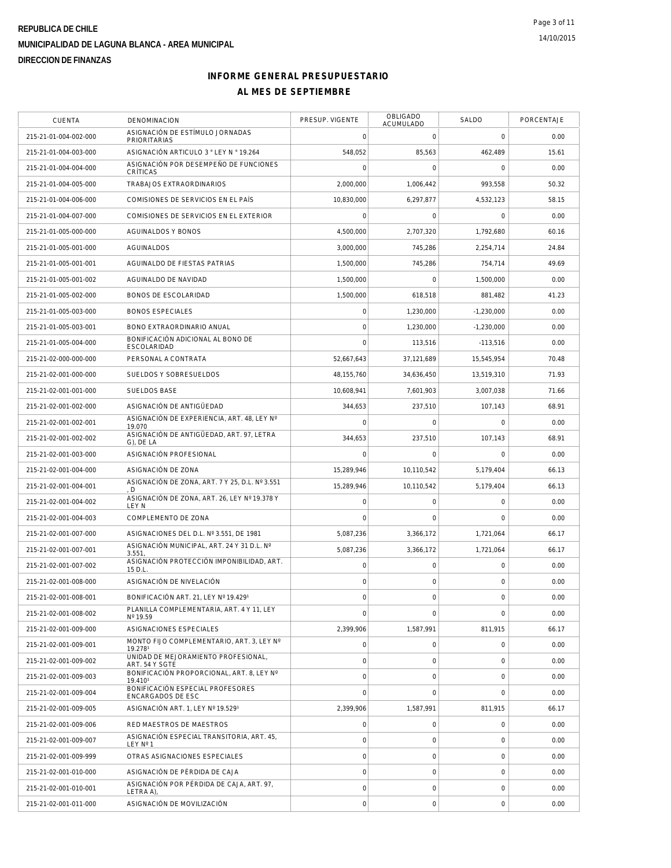| CUENTA                | <b>DENOMINACION</b>                                     | PRESUP. VIGENTE     | OBLIGADO<br>ACUMULADO | SALDO        | PORCENTAJE |
|-----------------------|---------------------------------------------------------|---------------------|-----------------------|--------------|------------|
| 215-21-01-004-002-000 | ASIGNACIÓN DE ESTÍMULO JORNADAS<br><b>PRIORITARIAS</b>  | $\mathbf 0$         | $\mathbf 0$           | $\mathbf 0$  | 0.00       |
| 215-21-01-004-003-000 | ASIGNACIÓN ARTICULO 3 ° LEY N ° 19.264                  | 548,052             | 85,563                | 462,489      | 15.61      |
| 215-21-01-004-004-000 | ASIGNACIÓN POR DESEMPEÑO DE FUNCIONES<br>CRÍTICAS       | $\mathsf{O}\xspace$ | $\mathsf{O}\xspace$   | 0            | 0.00       |
| 215-21-01-004-005-000 | TRABAJOS EXTRAORDINARIOS                                | 2,000,000           | 1,006,442             | 993,558      | 50.32      |
| 215-21-01-004-006-000 | COMISIONES DE SERVICIOS EN EL PAÍS                      | 10,830,000          | 6,297,877             | 4,532,123    | 58.15      |
| 215-21-01-004-007-000 | COMISIONES DE SERVICIOS EN EL EXTERIOR                  | $\mathbf 0$         | $\mathbf 0$           | $\mathbf 0$  | 0.00       |
| 215-21-01-005-000-000 | AGUINALDOS Y BONOS                                      | 4.500.000           | 2,707,320             | 1,792,680    | 60.16      |
| 215-21-01-005-001-000 | <b>AGUINALDOS</b>                                       | 3,000,000           | 745,286               | 2.254.714    | 24.84      |
| 215-21-01-005-001-001 | AGUINALDO DE FIESTAS PATRIAS                            | 1,500,000           | 745,286               | 754.714      | 49.69      |
| 215-21-01-005-001-002 | AGUINALDO DE NAVIDAD                                    | 1,500,000           | $\mathbf 0$           | 1,500,000    | 0.00       |
| 215-21-01-005-002-000 | BONOS DE ESCOLARIDAD                                    | 1,500,000           | 618,518               | 881,482      | 41.23      |
| 215-21-01-005-003-000 | <b>BONOS ESPECIALES</b>                                 | $\mathsf{O}\xspace$ | 1,230,000             | $-1,230,000$ | 0.00       |
| 215-21-01-005-003-001 | BONO EXTRAORDINARIO ANUAL                               | $\mathbf 0$         | 1,230,000             | $-1,230,000$ | 0.00       |
| 215-21-01-005-004-000 | BONIFICACIÓN ADICIONAL AL BONO DE<br><b>ESCOLARIDAD</b> | $\mathbf 0$         | 113,516               | $-113,516$   | 0.00       |
| 215-21-02-000-000-000 | PERSONAL A CONTRATA                                     | 52.667.643          | 37,121,689            | 15.545.954   | 70.48      |
| 215-21-02-001-000-000 | SUELDOS Y SOBRESUELDOS                                  | 48.155.760          | 34,636,450            | 13,519,310   | 71.93      |
| 215-21-02-001-001-000 | SUELDOS BASE                                            | 10,608,941          | 7,601,903             | 3.007.038    | 71.66      |
| 215-21-02-001-002-000 | ASIGNACIÓN DE ANTIGÜEDAD                                | 344,653             | 237,510               | 107,143      | 68.91      |
| 215-21-02-001-002-001 | ASIGNACIÓN DE EXPERIENCIA, ART, 48, LEY Nº<br>19.070    | $\mathbf 0$         | $\mathbf 0$           | $\Omega$     | 0.00       |
| 215-21-02-001-002-002 | ASIGNACIÓN DE ANTIGÜEDAD, ART. 97, LETRA<br>G), DE LA   | 344,653             | 237,510               | 107,143      | 68.91      |
| 215-21-02-001-003-000 | ASIGNACIÓN PROFESIONAL                                  | $\mathbf 0$         | 0                     | 0            | 0.00       |
| 215-21-02-001-004-000 | ASIGNACIÓN DE ZONA                                      | 15,289,946          | 10,110,542            | 5,179,404    | 66.13      |
| 215-21-02-001-004-001 | ASIGNACIÓN DE ZONA, ART. 7 Y 25, D.L. Nº 3.551<br>D.    | 15,289,946          | 10,110,542            | 5,179,404    | 66.13      |
| 215-21-02-001-004-002 | ASIGNACIÓN DE ZONA, ART. 26, LEY Nº 19.378 Y<br>LEY N   | $\mathbf 0$         | 0                     | 0            | 0.00       |
| 215-21-02-001-004-003 | COMPLEMENTO DE ZONA                                     | $\mathbf 0$         | $\mathbf 0$           | $\mathbf 0$  | 0.00       |
| 215-21-02-001-007-000 | ASIGNACIONES DEL D.L. Nº 3.551, DE 1981                 | 5,087,236           | 3,366,172             | 1,721,064    | 66.17      |
| 215-21-02-001-007-001 | ASIGNACIÓN MUNICIPAL, ART. 24 Y 31 D.L. Nº<br>3.551     | 5.087.236           | 3,366,172             | 1,721,064    | 66.17      |
| 215-21-02-001-007-002 | ASIGNACIÓN PROTECCIÓN IMPONIBILIDAD, ART.<br>15 D.L     | $\mathsf{O}\xspace$ | 0                     | $\mathbf 0$  | 0.00       |
| 215-21-02-001-008-000 | ASIGNACIÓN DE NIVELACIÓN                                | $\mathbf 0$         | $\mathsf{O}\xspace$   | 0            | 0.00       |
| 215-21-02-001-008-001 | BONIFICACIÓN ART. 21, LEY Nº 19.4291                    | $\mathsf{O}\xspace$ | $\mathsf{O}$          | 0            | 0.00       |
| 215-21-02-001-008-002 | PLANILLA COMPLEMENTARIA, ART. 4 Y 11, LEY<br>Nº 19.59   | $\overline{0}$      | $\mathbf 0$           | $\mathbf 0$  | 0.00       |
| 215-21-02-001-009-000 | ASIGNACIONES ESPECIALES                                 | 2,399,906           | 1,587,991             | 811,915      | 66.17      |
| 215-21-02-001-009-001 | MONTO FIJO COMPLEMENTARIO, ART. 3, LEY Nº<br>19.2781    | 0                   | 0                     | 0            | 0.00       |
| 215-21-02-001-009-002 | UNIDAD DE MEJORAMIENTO PROFESIONAL,<br>ART. 54 Y SGTE   | $\mathsf{O}\xspace$ | 0                     | 0            | 0.00       |
| 215-21-02-001-009-003 | BONIFICACIÓN PROPORCIONAL, ART. 8, LEY Nº<br>19.4101    | $\mathsf{O}\xspace$ | $\mathsf{O}\xspace$   | 0            | 0.00       |
| 215-21-02-001-009-004 | BONIFICACIÓN ESPECIAL PROFESORES<br>ENCARGADOS DE ESC   | $\overline{0}$      | $\mathbf 0$           | $\mathbf 0$  | 0.00       |
| 215-21-02-001-009-005 | ASIGNACIÓN ART. 1, LEY Nº 19.5291                       | 2.399.906           | 1,587,991             | 811,915      | 66.17      |
| 215-21-02-001-009-006 | RED MAESTROS DE MAESTROS                                | $\mathsf{O}\xspace$ | $\mathsf{O}\xspace$   | $\mathbf 0$  | 0.00       |
| 215-21-02-001-009-007 | ASIGNACIÓN ESPECIAL TRANSITORIA, ART. 45.<br>LEY Nº 1   | $\mathsf{O}\xspace$ | $\mathbf 0$           | 0            | 0.00       |
| 215-21-02-001-009-999 | OTRAS ASIGNACIONES ESPECIALES                           | $\mathsf{O}\xspace$ | $\mathsf{O}$          | 0            | 0.00       |
| 215-21-02-001-010-000 | ASIGNACIÓN DE PÉRDIDA DE CAJA                           | $\mathbf 0$         | $\mathsf{O}\xspace$   | 0            | 0.00       |
| 215-21-02-001-010-001 | ASIGNACIÓN POR PÉRDIDA DE CAJA, ART. 97,<br>LETRA A),   | $\mathsf{O}\xspace$ | 0                     | 0            | 0.00       |
| 215-21-02-001-011-000 | ASIGNACIÓN DE MOVILIZACIÓN                              | $\mathbf 0$         | $\mathsf{O}\xspace$   | 0            | 0.00       |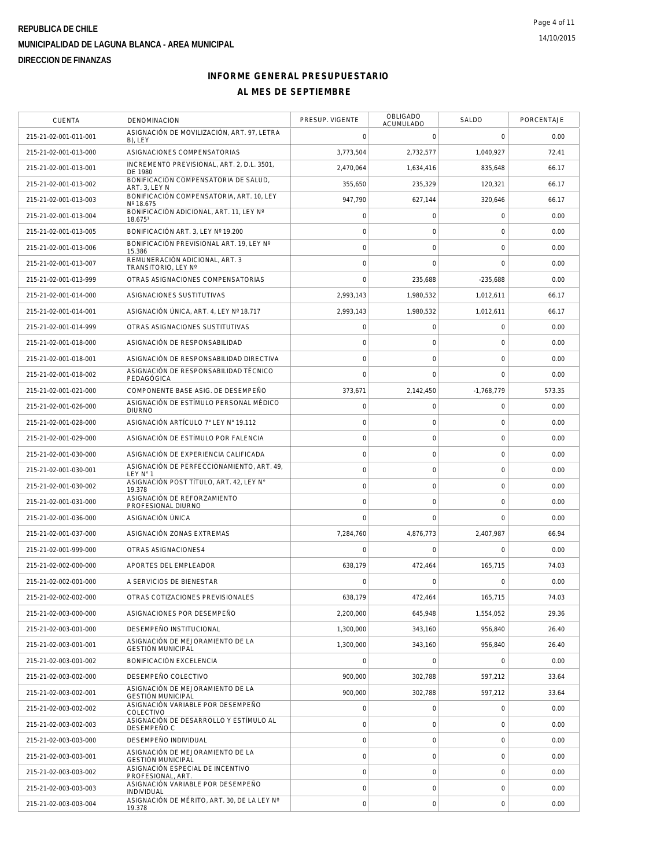| <b>CUENTA</b>         | DENOMINACION                                                 | PRESUP. VIGENTE     | OBLIGADO<br>ACUMULADO | SALDO          | PORCENTAJE |
|-----------------------|--------------------------------------------------------------|---------------------|-----------------------|----------------|------------|
| 215-21-02-001-011-001 | ASIGNACIÓN DE MOVILIZACIÓN, ART. 97, LETRA<br>B), LEY        | $\mathbf 0$         | 0                     | $\mathbf 0$    | 0.00       |
| 215-21-02-001-013-000 | ASIGNACIONES COMPENSATORIAS                                  | 3,773,504           | 2,732,577             | 1,040,927      | 72.41      |
| 215-21-02-001-013-001 | INCREMENTO PREVISIONAL, ART. 2, D.L. 3501,<br>DE 1980        | 2.470.064           | 1,634,416             | 835,648        | 66.17      |
| 215-21-02-001-013-002 | BONIFICACIÓN COMPENSATORIA DE SALUD,<br>ART. 3, LEY N        | 355.650             | 235,329               | 120.321        | 66.17      |
| 215-21-02-001-013-003 | BONIFICACIÓN COMPENSATORIA, ART. 10, LEY<br>Nº 18.675        | 947,790             | 627,144               | 320,646        | 66.17      |
| 215-21-02-001-013-004 | BONIFICACIÓN ADICIONAL, ART. 11, LEY Nº<br>18.6751           | $\mathsf{O}\xspace$ | $\mathbf 0$           | $\mathbf 0$    | 0.00       |
| 215-21-02-001-013-005 | BONIFICACIÓN ART. 3, LEY Nº 19.200                           | $\mathbf 0$         | $\mathbf 0$           | $\mathbf 0$    | 0.00       |
| 215-21-02-001-013-006 | BONIFICACIÓN PREVISIONAL ART. 19. LEY Nº<br>15.386           | $\mathbf 0$         | $\mathbf 0$           | 0              | 0.00       |
| 215-21-02-001-013-007 | REMUNERACIÓN ADICIONAL, ART. 3<br>TRANSITORIO, LEY Nº        | $\mathbf 0$         | $\mathbf 0$           | $\mathbf 0$    | 0.00       |
| 215-21-02-001-013-999 | OTRAS ASIGNACIONES COMPENSATORIAS                            | $\overline{0}$      | 235,688               | $-235,688$     | 0.00       |
| 215-21-02-001-014-000 | ASIGNACIONES SUSTITUTIVAS                                    | 2,993,143           | 1,980,532             | 1,012,611      | 66.17      |
| 215-21-02-001-014-001 | ASIGNACIÓN ÚNICA, ART. 4, LEY Nº 18.717                      | 2,993,143           | 1,980,532             | 1,012,611      | 66.17      |
| 215-21-02-001-014-999 | OTRAS ASIGNACIONES SUSTITUTIVAS                              | $\mathsf{O}\xspace$ | $\mathbf 0$           | $\mathbf 0$    | 0.00       |
| 215-21-02-001-018-000 | ASIGNACIÓN DE RESPONSABILIDAD                                | $\mathbf 0$         | $\mathbf 0$           | $\overline{0}$ | 0.00       |
| 215-21-02-001-018-001 | ASIGNACIÓN DE RESPONSABILIDAD DIRECTIVA                      | $\overline{0}$      | $\mathbf 0$           | 0              | 0.00       |
| 215-21-02-001-018-002 | ASIGNACIÓN DE RESPONSABILIDAD TÉCNICO<br>PEDAGÓGICA          | $\overline{0}$      | $\mathbf 0$           | $\mathbf 0$    | 0.00       |
| 215-21-02-001-021-000 | COMPONENTE BASE ASIG. DE DESEMPEÑO                           | 373,671             | 2,142,450             | $-1,768,779$   | 573.35     |
| 215-21-02-001-026-000 | ASIGNACIÓN DE ESTÍMULO PERSONAL MÉDICO<br><b>DIURNO</b>      | $\mathsf{O}\xspace$ | 0                     | $\mathbf 0$    | 0.00       |
| 215-21-02-001-028-000 | ASIGNACIÓN ARTÍCULO 7° LEY N° 19.112                         | $\mathbf 0$         | $\mathbf 0$           | $\mathbf 0$    | 0.00       |
| 215-21-02-001-029-000 | ASIGNACIÓN DE ESTÍMULO POR FALENCIA                          | $\mathbf 0$         | $\mathbf 0$           | $\mathbf 0$    | 0.00       |
| 215-21-02-001-030-000 | ASIGNACIÓN DE EXPERIENCIA CALIFICADA                         | $\mathbf 0$         | $\mathsf{O}\xspace$   | $\mathbf 0$    | 0.00       |
| 215-21-02-001-030-001 | ASIGNACIÓN DE PERFECCIONAMIENTO, ART. 49,<br>LEY N° 1        | $\mathbf 0$         | $\mathbf 0$           | 0              | 0.00       |
| 215-21-02-001-030-002 | ASIGNACIÓN POST TÍTULO, ART. 42, LEY N°<br>19.378            | $\mathbf 0$         | $\mathbf 0$           | 0              | 0.00       |
| 215-21-02-001-031-000 | ASIGNACIÓN DE REFORZAMIENTO<br>PROFESIONAL DIURNO            | $\overline{0}$      | $\mathsf{O}\xspace$   | $\mathbf 0$    | 0.00       |
| 215-21-02-001-036-000 | ASIGNACIÓN ÚNICA                                             | $\mathbf 0$         | $\mathbf 0$           | $\mathbf 0$    | 0.00       |
| 215-21-02-001-037-000 | ASIGNACIÓN ZONAS EXTREMAS                                    | 7,284,760           | 4,876,773             | 2,407,987      | 66.94      |
| 215-21-02-001-999-000 | OTRAS ASIGNACIONES4                                          | $\mathbf 0$         | $\mathbf 0$           | 0              | 0.00       |
| 215-21-02-002-000-000 | APORTES DEL EMPLEADOR                                        | 638,179             | 472,464               | 165,715        | 74.03      |
| 215-21-02-002-001-000 | A SERVICIOS DE BIENESTAR                                     | $\Omega$            | $\Omega$              | $\Omega$       | 0.00       |
| 215-21-02-002-002-000 | OTRAS COTIZACIONES PREVISIONALES                             | 638,179             | 472,464               | 165,715        | 74.03      |
| 215-21-02-003-000-000 | ASIGNACIONES POR DESEMPEÑO                                   | 2,200,000           | 645.948               | 1,554,052      | 29.36      |
| 215-21-02-003-001-000 | DESEMPEÑO INSTITUCIONAL                                      | 1,300,000           | 343,160               | 956,840        | 26.40      |
| 215-21-02-003-001-001 | ASIGNACIÓN DE MEJORAMIENTO DE LA<br><b>GESTIÓN MUNICIPAL</b> | 1,300,000           | 343,160               | 956.840        | 26.40      |
| 215-21-02-003-001-002 | BONIFICACIÓN EXCELENCIA                                      | $\mathbf 0$         | 0                     | 0              | 0.00       |
| 215-21-02-003-002-000 | DESEMPEÑO COLECTIVO                                          | 900,000             | 302,788               | 597,212        | 33.64      |
| 215-21-02-003-002-001 | ASIGNACIÓN DE MEJORAMIENTO DE LA<br><b>GESTIÓN MUNICIPAL</b> | 900,000             | 302,788               | 597,212        | 33.64      |
| 215-21-02-003-002-002 | ASIGNACIÓN VARIABLE POR DESEMPEÑO<br>COLECTIVO               | $\mathsf{O}\xspace$ | $\mathbf 0$           | 0              | 0.00       |
| 215-21-02-003-002-003 | ASIGNACIÓN DE DESARROLLO Y ESTÍMULO AL<br>DESEMPEÑO C        | $\mathsf{O}\xspace$ | $\mathsf{O}\xspace$   | $\mathbf 0$    | 0.00       |
| 215-21-02-003-003-000 | DESEMPEÑO INDIVIDUAL                                         | $\mathbf 0$         | 0                     | 0              | 0.00       |
| 215-21-02-003-003-001 | ASIGNACIÓN DE MEJORAMIENTO DE LA<br><b>GESTIÓN MUNICIPAL</b> | $\mathbf 0$         | $\mathsf{O}\xspace$   | 0              | 0.00       |
| 215-21-02-003-003-002 | ASIGNACIÓN ESPECIAL DE INCENTIVO<br>PROFESIONAL, ART.        | $\mathbf 0$         | 0                     | 0              | 0.00       |
| 215-21-02-003-003-003 | ASIGNACIÓN VARIABLE POR DESEMPEÑO<br>INDIVIDUAL              | $\mathsf{O}\xspace$ | $\mathsf{O}\xspace$   | $\mathbf 0$    | 0.00       |
| 215-21-02-003-003-004 | ASIGNACIÓN DE MÉRITO, ART. 30, DE LA LEY Nº<br>19.378        | $\mathbf 0$         | $\mathsf{O}\xspace$   | 0              | 0.00       |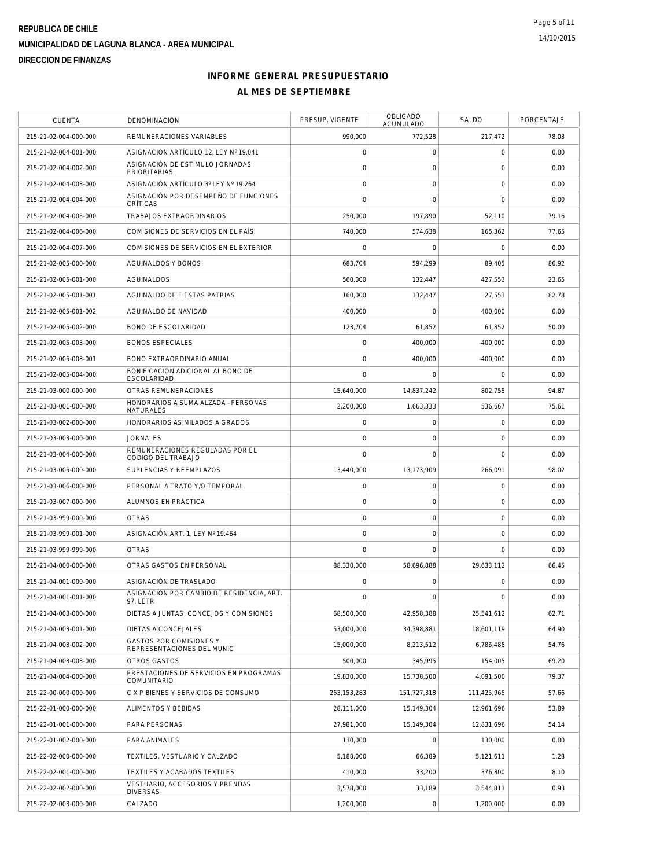| CUENTA                | <b>DENOMINACION</b>                                     | PRESUP. VIGENTE | OBLIGADO<br><b>ACUMULADO</b> | SALDO          | PORCENTAJE |
|-----------------------|---------------------------------------------------------|-----------------|------------------------------|----------------|------------|
| 215-21-02-004-000-000 | REMUNERACIONES VARIABLES                                | 990,000         | 772,528                      | 217,472        | 78.03      |
| 215-21-02-004-001-000 | ASIGNACIÓN ARTÍCULO 12, LEY Nº 19.041                   | $\mathbf 0$     | $\mathsf{O}\xspace$          | 0              | 0.00       |
| 215-21-02-004-002-000 | ASIGNACIÓN DE ESTÍMULO JORNADAS<br><b>PRIORITARIAS</b>  | $\circ$         | $\mathsf{O}\xspace$          | $\mathbf 0$    | 0.00       |
| 215-21-02-004-003-000 | ASIGNACIÓN ARTÍCULO 3º LEY Nº 19.264                    | $\overline{0}$  | $\mathbf 0$                  | $\mathbf 0$    | 0.00       |
| 215-21-02-004-004-000 | ASIGNACIÓN POR DESEMPEÑO DE FUNCIONES<br>CRÍTICAS       | $\Omega$        | $\Omega$                     | $\mathbf 0$    | 0.00       |
| 215-21-02-004-005-000 | TRABAJOS EXTRAORDINARIOS                                | 250,000         | 197,890                      | 52,110         | 79.16      |
| 215-21-02-004-006-000 | COMISIONES DE SERVICIOS EN EL PAÍS                      | 740,000         | 574,638                      | 165,362        | 77.65      |
| 215-21-02-004-007-000 | COMISIONES DE SERVICIOS EN EL EXTERIOR                  | $\mathbf 0$     | $\mathbf 0$                  | 0              | 0.00       |
| 215-21-02-005-000-000 | <b>AGUINALDOS Y BONOS</b>                               | 683,704         | 594,299                      | 89,405         | 86.92      |
| 215-21-02-005-001-000 | AGUINALDOS                                              | 560,000         | 132,447                      | 427,553        | 23.65      |
| 215-21-02-005-001-001 | AGUINALDO DE FIESTAS PATRIAS                            | 160,000         | 132,447                      | 27,553         | 82.78      |
| 215-21-02-005-001-002 | AGUINALDO DE NAVIDAD                                    | 400,000         | $\mathbf 0$                  | 400,000        | 0.00       |
| 215-21-02-005-002-000 | <b>BONO DE ESCOLARIDAD</b>                              | 123,704         | 61,852                       | 61,852         | 50.00      |
| 215-21-02-005-003-000 | <b>BONOS ESPECIALES</b>                                 | $\mathbf 0$     | 400.000                      | $-400.000$     | 0.00       |
| 215-21-02-005-003-001 | BONO EXTRAORDINARIO ANUAL                               | $\mathbf 0$     | 400,000                      | $-400,000$     | 0.00       |
| 215-21-02-005-004-000 | BONIFICACIÓN ADICIONAL AL BONO DE<br>ESCOLARIDAD        | $\mathbf 0$     | $\mathbf 0$                  | $\mathbf 0$    | 0.00       |
| 215-21-03-000-000-000 | OTRAS REMUNERACIONES                                    | 15,640,000      | 14,837,242                   | 802,758        | 94.87      |
| 215-21-03-001-000-000 | HONORARIOS A SUMA ALZADA - PERSONAS<br><b>NATURALES</b> | 2,200,000       | 1,663,333                    | 536,667        | 75.61      |
| 215-21-03-002-000-000 | HONORARIOS ASIMILADOS A GRADOS                          | $\circ$         | $\mathsf{O}\xspace$          | $\mathbf 0$    | 0.00       |
| 215-21-03-003-000-000 | <b>JORNALES</b>                                         | $\mathbf 0$     | $\mathbf 0$                  | 0              | 0.00       |
| 215-21-03-004-000-000 | REMUNERACIONES REGULADAS POR EL<br>CÓDIGO DEL TRABAJO   | $\mathbf 0$     | $\Omega$                     | $\overline{0}$ | 0.00       |
| 215-21-03-005-000-000 | SUPLENCIAS Y REEMPLAZOS                                 | 13,440,000      | 13,173,909                   | 266,091        | 98.02      |
| 215-21-03-006-000-000 | PERSONAL A TRATO Y/O TEMPORAL                           | $\mathbf 0$     | $\mathbf 0$                  | $\mathbf 0$    | 0.00       |
| 215-21-03-007-000-000 | ALUMNOS EN PRÁCTICA                                     | $\mathbf 0$     | $\mathsf{O}\xspace$          | $\mathbf 0$    | 0.00       |
| 215-21-03-999-000-000 | <b>OTRAS</b>                                            | $\mathbf 0$     | $\mathbf 0$                  | $\mathbf 0$    | 0.00       |
| 215-21-03-999-001-000 | ASIGNACIÓN ART. 1, LEY Nº 19.464                        | $\mathbf 0$     | $\mathsf{O}\xspace$          | $\mathbf 0$    | 0.00       |
| 215-21-03-999-999-000 | <b>OTRAS</b>                                            | $\overline{0}$  | $\mathbf 0$                  | $\overline{0}$ | 0.00       |
| 215-21-04-000-000-000 | OTRAS GASTOS EN PERSONAL                                | 88,330,000      | 58.696.888                   | 29,633,112     | 66.45      |
| 215-21-04-001-000-000 | ASIGNACIÓN DE TRASLADO                                  | $\mathbf 0$     | $\mathbf 0$                  | $\mathbf 0$    | 0.00       |
| 215-21-04-001-001-000 | ASIGNACIÓN POR CAMBIO DE RESIDENCIA, ART.<br>97, LETR   | $\mathbf 0$     | $\mathbf 0$                  | $\overline{0}$ | 0.00       |
| 215-21-04-003-000-000 | DIETAS A JUNTAS, CONCEJOS Y COMISIONES                  | 68,500,000      | 42,958,388                   | 25,541,612     | 62.71      |
| 215-21-04-003-001-000 | DIETAS A CONCEJALES                                     | 53,000,000      | 34,398,881                   | 18,601,119     | 64.90      |
| 215-21-04-003-002-000 | GASTOS POR COMISIONES Y<br>REPRESENTACIONES DEL MUNIC   | 15,000,000      | 8,213,512                    | 6,786,488      | 54.76      |
| 215-21-04-003-003-000 | <b>OTROS GASTOS</b>                                     | 500,000         | 345,995                      | 154,005        | 69.20      |
| 215-21-04-004-000-000 | PRESTACIONES DE SERVICIOS EN PROGRAMAS<br>COMUNITARIO   | 19,830,000      | 15,738,500                   | 4,091,500      | 79.37      |
| 215-22-00-000-000-000 | C X P BIENES Y SERVICIOS DE CONSUMO                     | 263, 153, 283   | 151,727,318                  | 111,425,965    | 57.66      |
| 215-22-01-000-000-000 | ALIMENTOS Y BEBIDAS                                     | 28,111,000      | 15,149,304                   | 12,961,696     | 53.89      |
| 215-22-01-001-000-000 | PARA PERSONAS                                           | 27,981,000      | 15,149,304                   | 12,831,696     | 54.14      |
| 215-22-01-002-000-000 | PARA ANIMALES                                           | 130,000         | $\mathsf{O}\xspace$          | 130,000        | 0.00       |
| 215-22-02-000-000-000 | TEXTILES, VESTUARIO Y CALZADO                           | 5,188,000       | 66,389                       | 5,121,611      | 1.28       |
| 215-22-02-001-000-000 | TEXTILES Y ACABADOS TEXTILES                            | 410,000         | 33,200                       | 376,800        | 8.10       |
| 215-22-02-002-000-000 | VESTUARIO, ACCESORIOS Y PRENDAS<br><b>DIVERSAS</b>      | 3,578,000       | 33,189                       | 3,544,811      | 0.93       |
| 215-22-02-003-000-000 | CALZADO                                                 | 1,200,000       | $\mathsf{O}\xspace$          | 1,200,000      | 0.00       |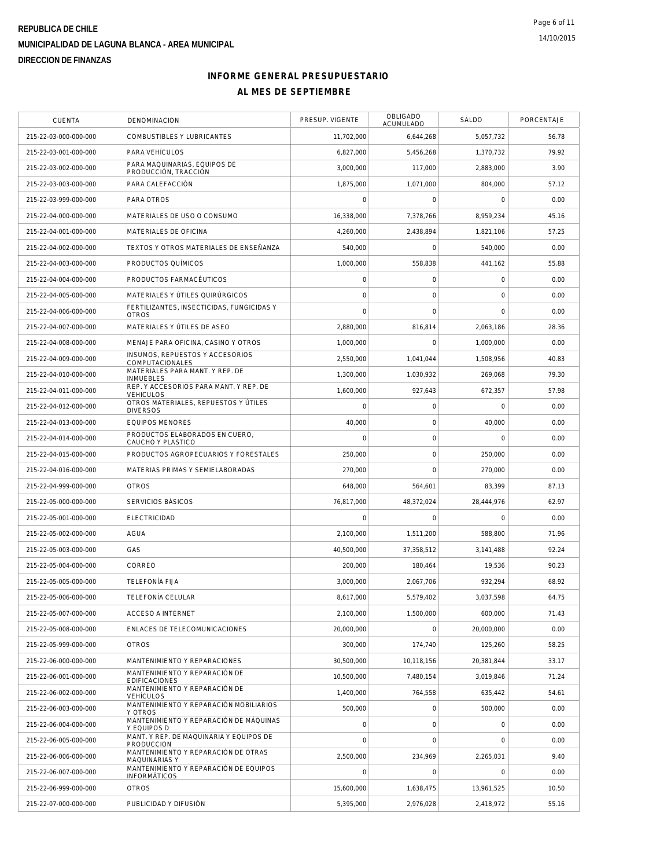| CUENTA                | DENOMINACION                                                 | PRESUP. VIGENTE     | <b>OBLIGADO</b><br>ACUMULADO | SALDO       | PORCENTAJE |
|-----------------------|--------------------------------------------------------------|---------------------|------------------------------|-------------|------------|
| 215-22-03-000-000-000 | COMBUSTIBLES Y LUBRICANTES                                   | 11,702,000          | 6,644,268                    | 5,057,732   | 56.78      |
| 215-22-03-001-000-000 | PARA VEHÍCULOS                                               | 6,827,000           | 5,456,268                    | 1,370,732   | 79.92      |
| 215-22-03-002-000-000 | PARA MAQUINARIAS, EQUIPOS DE<br>PRODUCCIÓN, TRACCIÓN         | 3,000,000           | 117,000                      | 2,883,000   | 3.90       |
| 215-22-03-003-000-000 | PARA CALEFACCIÓN                                             | 1.875.000           | 1,071,000                    | 804.000     | 57.12      |
| 215-22-03-999-000-000 | PARA OTROS                                                   | $\Omega$            | $\mathbf 0$                  | $\mathbf 0$ | 0.00       |
| 215-22-04-000-000-000 | MATERIALES DE USO O CONSUMO                                  | 16,338,000          | 7,378,766                    | 8,959,234   | 45.16      |
| 215-22-04-001-000-000 | MATERIALES DE OFICINA                                        | 4,260,000           | 2.438.894                    | 1,821,106   | 57.25      |
| 215-22-04-002-000-000 | TEXTOS Y OTROS MATERIALES DE ENSEÑANZA                       | 540,000             | $\mathbf 0$                  | 540.000     | 0.00       |
| 215-22-04-003-000-000 | PRODUCTOS QUÍMICOS                                           | 1,000,000           | 558,838                      | 441.162     | 55.88      |
| 215-22-04-004-000-000 | PRODUCTOS FARMACÉUTICOS                                      | $\mathsf{O}\xspace$ | $\mathsf{O}\xspace$          | $\mathbf 0$ | 0.00       |
| 215-22-04-005-000-000 | MATERIALES Y ÚTILES QUIRÚRGICOS                              | $\mathbf 0$         | $\mathbf 0$                  | $\mathbf 0$ | 0.00       |
| 215-22-04-006-000-000 | FERTILIZANTES, INSECTICIDAS, FUNGICIDAS Y<br><b>OTROS</b>    | $\overline{0}$      | $\mathbf 0$                  | $\Omega$    | 0.00       |
| 215-22-04-007-000-000 | MATERIALES Y ÚTILES DE ASEO                                  | 2.880.000           | 816.814                      | 2.063.186   | 28.36      |
| 215-22-04-008-000-000 | MENAJE PARA OFICINA, CASINO Y OTROS                          | 1,000,000           | $\mathbf 0$                  | 1,000,000   | 0.00       |
| 215-22-04-009-000-000 | INSUMOS, REPUESTOS Y ACCESORIOS<br>COMPUTACIONALES           | 2,550,000           | 1,041,044                    | 1,508,956   | 40.83      |
| 215-22-04-010-000-000 | MATERIALES PARA MANT. Y REP. DE<br><b>INMUEBLES</b>          | 1,300,000           | 1,030,932                    | 269,068     | 79.30      |
| 215-22-04-011-000-000 | REP. Y ACCESORIOS PARA MANT. Y REP. DE<br><b>VEHICULOS</b>   | 1.600.000           | 927,643                      | 672,357     | 57.98      |
| 215-22-04-012-000-000 | OTROS MATERIALES, REPUESTOS Y ÚTILES<br><b>DIVERSOS</b>      | $\mathbf 0$         | $\mathbf 0$                  | $\mathbf 0$ | 0.00       |
| 215-22-04-013-000-000 | <b>EQUIPOS MENORES</b>                                       | 40,000              | $\mathsf{O}\xspace$          | 40,000      | 0.00       |
| 215-22-04-014-000-000 | PRODUCTOS ELABORADOS EN CUERO,<br>CAUCHO Y PLASTICO          | $\mathbf 0$         | $\mathbf 0$                  | $\mathbf 0$ | 0.00       |
| 215-22-04-015-000-000 | PRODUCTOS AGROPECUARIOS Y FORESTALES                         | 250,000             | $\mathsf{O}\xspace$          | 250,000     | 0.00       |
| 215-22-04-016-000-000 | MATERIAS PRIMAS Y SEMIELABORADAS                             | 270,000             | $\mathbf 0$                  | 270,000     | 0.00       |
| 215-22-04-999-000-000 | <b>OTROS</b>                                                 | 648,000             | 564,601                      | 83,399      | 87.13      |
| 215-22-05-000-000-000 | SERVICIOS BÁSICOS                                            | 76,817,000          | 48,372,024                   | 28,444,976  | 62.97      |
| 215-22-05-001-000-000 | <b>ELECTRICIDAD</b>                                          | 0                   | 0                            | $\mathbf 0$ | 0.00       |
| 215-22-05-002-000-000 | <b>AGUA</b>                                                  | 2,100,000           | 1,511,200                    | 588,800     | 71.96      |
| 215-22-05-003-000-000 | GAS                                                          | 40,500,000          | 37,358,512                   | 3,141,488   | 92.24      |
| 215-22-05-004-000-000 | CORREO                                                       | 200,000             | 180,464                      | 19,536      | 90.23      |
| 215-22-05-005-000-000 | <b>TELEFONÍA FIJA</b>                                        | 3,000,000           | 2,067,706                    | 932,294     | 68.92      |
| 215-22-05-006-000-000 | TELEFONÍA CELULAR                                            | 8,617,000           | 5,579,402                    | 3,037,598   | 64.75      |
| 215-22-05-007-000-000 | <b>ACCESO A INTERNET</b>                                     | 2,100,000           | 1,500,000                    | 600.000     | 71.43      |
| 215-22-05-008-000-000 | ENLACES DE TELECOMUNICACIONES                                | 20,000,000          | $\mathbf 0$                  | 20,000,000  | 0.00       |
| 215-22-05-999-000-000 | <b>OTROS</b>                                                 | 300,000             | 174,740                      | 125,260     | 58.25      |
| 215-22-06-000-000-000 | MANTENIMIENTO Y REPARACIONES                                 | 30,500,000          | 10,118,156                   | 20.381.844  | 33.17      |
| 215-22-06-001-000-000 | MANTENIMIENTO Y REPARACIÓN DE<br><b>EDIFICACIONES</b>        | 10,500,000          | 7,480,154                    | 3,019,846   | 71.24      |
| 215-22-06-002-000-000 | MANTENIMIENTO Y REPARACIÓN DE<br><b>VEHÍCULOS</b>            | 1,400,000           | 764,558                      | 635,442     | 54.61      |
| 215-22-06-003-000-000 | MANTENIMIENTO Y REPARACIÓN MOBILIARIOS<br>Y OTROS            | 500,000             | $\mathsf{O}\xspace$          | 500,000     | 0.00       |
| 215-22-06-004-000-000 | MANTENIMIENTO Y REPARACIÓN DE MÁQUINAS<br>Y EQUIPOS D        | $\circ$             | $\mathsf{O}\xspace$          | $\mathbf 0$ | 0.00       |
| 215-22-06-005-000-000 | MANT. Y REP. DE MAQUINARIA Y EQUIPOS DE<br>PRODUCCION        | $\mathbf 0$         | $\mathbf 0$                  | $\mathbf 0$ | 0.00       |
| 215-22-06-006-000-000 | MANTENIMIENTO Y REPARACIÓN DE OTRAS<br>MAQUINARIAS Y         | 2,500,000           | 234,969                      | 2,265,031   | 9.40       |
| 215-22-06-007-000-000 | MANTENIMIENTO Y REPARACIÓN DE EQUIPOS<br><b>INFORMÁTICOS</b> | $\mathbf 0$         | $\mathbf 0$                  | $\mathbf 0$ | 0.00       |
| 215-22-06-999-000-000 | <b>OTROS</b>                                                 | 15,600,000          | 1,638,475                    | 13,961,525  | 10.50      |
| 215-22-07-000-000-000 | PUBLICIDAD Y DIFUSIÓN                                        | 5,395,000           | 2,976,028                    | 2,418,972   | 55.16      |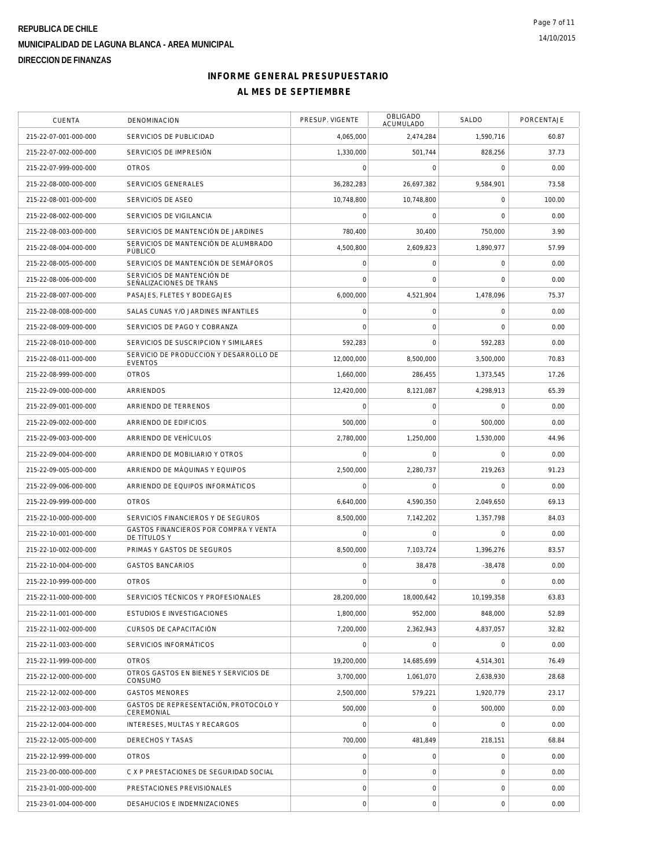| <b>CUENTA</b>         | DENOMINACION                                             | PRESUP. VIGENTE     | OBLIGADO<br>ACUMULADO | SALDO       | PORCENTAJE |
|-----------------------|----------------------------------------------------------|---------------------|-----------------------|-------------|------------|
| 215-22-07-001-000-000 | SERVICIOS DE PUBLICIDAD                                  | 4,065,000           | 2,474,284             | 1,590,716   | 60.87      |
| 215-22-07-002-000-000 | SERVICIOS DE IMPRESIÓN                                   | 1,330,000           | 501,744               | 828,256     | 37.73      |
| 215-22-07-999-000-000 | <b>OTROS</b>                                             | $\mathbf 0$         | 0                     | 0           | 0.00       |
| 215-22-08-000-000-000 | SERVICIOS GENERALES                                      | 36.282.283          | 26.697.382            | 9,584,901   | 73.58      |
| 215-22-08-001-000-000 | SERVICIOS DE ASEO                                        | 10,748,800          | 10,748,800            | $\mathbf 0$ | 100.00     |
| 215-22-08-002-000-000 | SERVICIOS DE VIGILANCIA                                  | 0                   | $\mathsf{O}\xspace$   | $\mathbf 0$ | 0.00       |
| 215-22-08-003-000-000 | SERVICIOS DE MANTENCIÓN DE JARDINES                      | 780,400             | 30,400                | 750,000     | 3.90       |
| 215-22-08-004-000-000 | SERVICIOS DE MANTENCIÓN DE ALUMBRADO<br>PÚBLICO          | 4,500,800           | 2,609,823             | 1,890,977   | 57.99      |
| 215-22-08-005-000-000 | SERVICIOS DE MANTENCIÓN DE SEMÁFOROS                     | $\mathbf 0$         | $\mathsf{O}\xspace$   | 0           | 0.00       |
| 215-22-08-006-000-000 | SERVICIOS DE MANTENCIÓN DE<br>SEÑALIZACIONES DE TRÁNS    | $\mathbf 0$         | $\mathbf 0$           | $\mathbf 0$ | 0.00       |
| 215-22-08-007-000-000 | PASAJES, FLETES Y BODEGAJES                              | 6,000,000           | 4,521,904             | 1,478,096   | 75.37      |
| 215-22-08-008-000-000 | SALAS CUNAS Y/O JARDINES INFANTILES                      | $\mathbf 0$         | $\mathsf{O}\xspace$   | $\mathbf 0$ | 0.00       |
| 215-22-08-009-000-000 | SERVICIOS DE PAGO Y COBRANZA                             | $\mathbf 0$         | $\mathsf{O}\xspace$   | $\mathbf 0$ | 0.00       |
| 215-22-08-010-000-000 | SERVICIOS DE SUSCRIPCION Y SIMILARES                     | 592,283             | $\Omega$              | 592,283     | 0.00       |
| 215-22-08-011-000-000 | SERVICIO DE PRODUCCION Y DESARROLLO DE<br><b>EVENTOS</b> | 12,000,000          | 8.500.000             | 3,500,000   | 70.83      |
| 215-22-08-999-000-000 | <b>OTROS</b>                                             | 1,660,000           | 286,455               | 1,373,545   | 17.26      |
| 215-22-09-000-000-000 | <b>ARRIENDOS</b>                                         | 12,420,000          | 8,121,087             | 4,298,913   | 65.39      |
| 215-22-09-001-000-000 | ARRIENDO DE TERRENOS                                     | $\mathbf 0$         | $\mathbf 0$           | $\mathbf 0$ | 0.00       |
| 215-22-09-002-000-000 | ARRIENDO DE EDIFICIOS                                    | 500.000             | $\mathbf 0$           | 500,000     | 0.00       |
| 215-22-09-003-000-000 | ARRIENDO DE VEHÍCULOS                                    | 2,780,000           | 1,250,000             | 1,530,000   | 44.96      |
| 215-22-09-004-000-000 | ARRIENDO DE MOBILIARIO Y OTROS                           | 0                   | 0                     | $\mathbf 0$ | 0.00       |
| 215-22-09-005-000-000 | ARRIENDO DE MÁQUINAS Y EQUIPOS                           | 2,500,000           | 2,280,737             | 219,263     | 91.23      |
| 215-22-09-006-000-000 | ARRIENDO DE EQUIPOS INFORMÁTICOS                         | $\mathbf 0$         | $\mathbf 0$           | $\mathbf 0$ | 0.00       |
| 215-22-09-999-000-000 | <b>OTROS</b>                                             | 6,640,000           | 4,590,350             | 2,049,650   | 69.13      |
| 215-22-10-000-000-000 | SERVICIOS FINANCIEROS Y DE SEGUROS                       | 8,500,000           | 7,142,202             | 1,357,798   | 84.03      |
| 215-22-10-001-000-000 | GASTOS FINANCIEROS POR COMPRA Y VENTA<br>DE TÍTULOS Y    | $\mathbf 0$         | 0                     | $\mathbf 0$ | 0.00       |
| 215-22-10-002-000-000 | PRIMAS Y GASTOS DE SEGUROS                               | 8,500,000           | 7,103,724             | 1,396,276   | 83.57      |
| 215-22-10-004-000-000 | <b>GASTOS BANCARIOS</b>                                  | $\mathsf{O}\xspace$ | 38,478                | $-38,478$   | 0.00       |
| 215-22-10-999-000-000 | <b>OTROS</b>                                             | $\bigcap$           | $\Omega$              | $\Omega$    | 0.00       |
| 215-22-11-000-000-000 | SERVICIOS TÉCNICOS Y PROFESIONALES                       | 28,200,000          | 18,000,642            | 10.199.358  | 63.83      |
| 215-22-11-001-000-000 | <b>ESTUDIOS E INVESTIGACIONES</b>                        | 1,800,000           | 952.000               | 848,000     | 52.89      |
| 215-22-11-002-000-000 | CURSOS DE CAPACITACIÓN                                   | 7,200,000           | 2,362,943             | 4,837,057   | 32.82      |
| 215-22-11-003-000-000 | SERVICIOS INFORMÁTICOS                                   | 0                   | 0                     | 0           | 0.00       |
| 215-22-11-999-000-000 | <b>OTROS</b>                                             | 19,200,000          | 14,685,699            | 4,514,301   | 76.49      |
| 215-22-12-000-000-000 | OTROS GASTOS EN BIENES Y SERVICIOS DE<br>CONSUMO         | 3,700,000           | 1,061,070             | 2,638,930   | 28.68      |
| 215-22-12-002-000-000 | <b>GASTOS MENORES</b>                                    | 2,500,000           | 579.221               | 1,920,779   | 23.17      |
| 215-22-12-003-000-000 | GASTOS DE REPRESENTACIÓN, PROTOCOLO Y<br>CEREMONIAL      | 500,000             | $\mathsf O$           | 500,000     | 0.00       |
| 215-22-12-004-000-000 | INTERESES, MULTAS Y RECARGOS                             | $\mathbf 0$         | $\mathbf 0$           | $\mathbf 0$ | 0.00       |
| 215-22-12-005-000-000 | DERECHOS Y TASAS                                         | 700,000             | 481,849               | 218,151     | 68.84      |
| 215-22-12-999-000-000 | <b>OTROS</b>                                             | $\mathsf{O}\xspace$ | $\mathsf O$           | $\mathbf 0$ | 0.00       |
| 215-23-00-000-000-000 | C X P PRESTACIONES DE SEGURIDAD SOCIAL                   | $\mathbf 0$         | $\mathsf O$           | $\mathbf 0$ | 0.00       |
| 215-23-01-000-000-000 | PRESTACIONES PREVISIONALES                               | $\mathsf{O}\xspace$ | $\mathsf{O}\xspace$   | $\mathbf 0$ | 0.00       |
| 215-23-01-004-000-000 | DESAHUCIOS E INDEMNIZACIONES                             | $\circ$             | $\mathsf{O}\xspace$   | $\mathbf 0$ | 0.00       |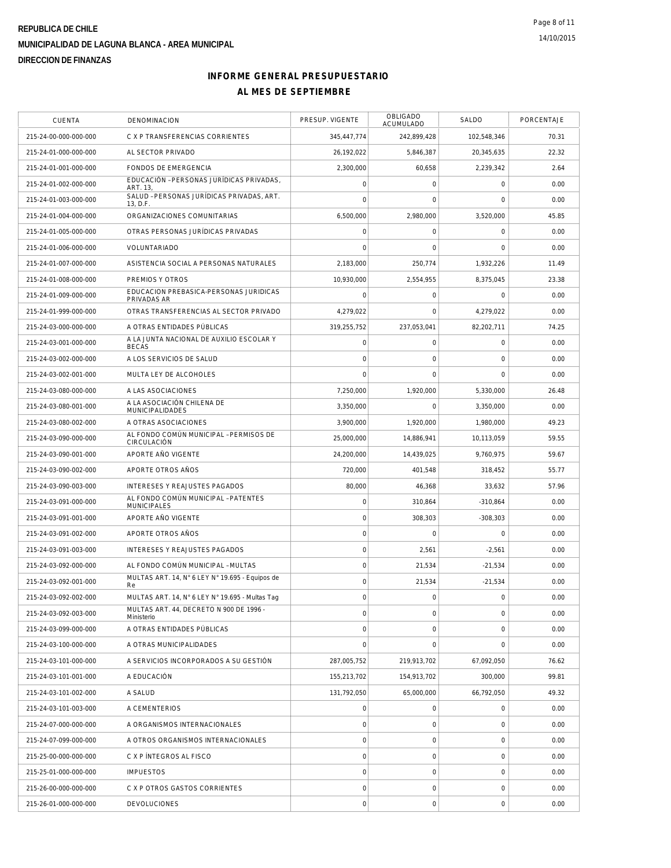| <b>CUENTA</b>         | DENOMINACION                                              | PRESUP. VIGENTE     | OBLIGADO<br>ACUMULADO | SALDO               | PORCENTAJE |
|-----------------------|-----------------------------------------------------------|---------------------|-----------------------|---------------------|------------|
| 215-24-00-000-000-000 | C X P TRANSFERENCIAS CORRIENTES                           | 345,447,774         | 242,899,428           | 102,548,346         | 70.31      |
| 215-24-01-000-000-000 | AL SECTOR PRIVADO                                         | 26,192,022          | 5,846,387             | 20,345,635          | 22.32      |
| 215-24-01-001-000-000 | FONDOS DE EMERGENCIA                                      | 2,300,000           | 60,658                | 2,239,342           | 2.64       |
| 215-24-01-002-000-000 | EDUCACIÓN - PERSONAS JURÍDICAS PRIVADAS,<br>ART. 13,      | $\mathbf 0$         | $\mathbf 0$           | $\mathbf 0$         | 0.00       |
| 215-24-01-003-000-000 | SALUD - PERSONAS JURÍDICAS PRIVADAS, ART.<br>13, D.F.     | $\mathbf 0$         | $\mathbf 0$           | $\mathbf 0$         | 0.00       |
| 215-24-01-004-000-000 | ORGANIZACIONES COMUNITARIAS                               | 6,500,000           | 2,980,000             | 3,520,000           | 45.85      |
| 215-24-01-005-000-000 | OTRAS PERSONAS JURÍDICAS PRIVADAS                         | $\circ$             | $\mathsf{O}\xspace$   | $\mathbf 0$         | 0.00       |
| 215-24-01-006-000-000 | <b>VOLUNTARIADO</b>                                       | $\mathbf 0$         | $\mathbf 0$           | $\mathbf 0$         | 0.00       |
| 215-24-01-007-000-000 | ASISTENCIA SOCIAL A PERSONAS NATURALES                    | 2,183,000           | 250.774               | 1.932.226           | 11.49      |
| 215-24-01-008-000-000 | PREMIOS Y OTROS                                           | 10,930,000          | 2,554,955             | 8,375,045           | 23.38      |
| 215-24-01-009-000-000 | EDUCACION PREBASICA-PERSONAS JURIDICAS<br>PRIVADAS AR     | 0                   | $\mathsf O$           | $\mathbf 0$         | 0.00       |
| 215-24-01-999-000-000 | OTRAS TRANSFERENCIAS AL SECTOR PRIVADO                    | 4,279,022           | $\mathbf 0$           | 4,279,022           | 0.00       |
| 215-24-03-000-000-000 | A OTRAS ENTIDADES PÚBLICAS                                | 319,255,752         | 237,053,041           | 82.202.711          | 74.25      |
| 215-24-03-001-000-000 | A LA JUNTA NACIONAL DE AUXILIO ESCOLAR Y<br><b>BECAS</b>  | $\circ$             | $\mathsf O$           | $\mathbf 0$         | 0.00       |
| 215-24-03-002-000-000 | A LOS SERVICIOS DE SALUD                                  | $\mathbf 0$         | $\mathbf 0$           | $\mathbf 0$         | 0.00       |
| 215-24-03-002-001-000 | MULTA LEY DE ALCOHOLES                                    | $\mathbf 0$         | $\mathbf 0$           | $\mathbf 0$         | 0.00       |
| 215-24-03-080-000-000 | A LAS ASOCIACIONES                                        | 7,250,000           | 1,920,000             | 5,330,000           | 26.48      |
| 215-24-03-080-001-000 | A LA ASOCIACIÓN CHILENA DE<br><b>MUNICIPALIDADES</b>      | 3,350,000           | $\mathbf 0$           | 3,350,000           | 0.00       |
| 215-24-03-080-002-000 | A OTRAS ASOCIACIONES                                      | 3,900,000           | 1,920,000             | 1,980,000           | 49.23      |
| 215-24-03-090-000-000 | AL FONDO COMÚN MUNICIPAL - PERMISOS DE<br>CIRCULACIÓN     | 25,000,000          | 14,886,941            | 10,113,059          | 59.55      |
| 215-24-03-090-001-000 | APORTE AÑO VIGENTE                                        | 24,200,000          | 14,439,025            | 9,760,975           | 59.67      |
| 215-24-03-090-002-000 | APORTE OTROS AÑOS                                         | 720,000             | 401,548               | 318,452             | 55.77      |
| 215-24-03-090-003-000 | INTERESES Y REAJUSTES PAGADOS                             | 80,000              | 46,368                | 33,632              | 57.96      |
| 215-24-03-091-000-000 | AL FONDO COMÚN MUNICIPAL - PATENTES<br><b>MUNICIPALES</b> | $\mathbf 0$         | 310,864               | $-310,864$          | 0.00       |
| 215-24-03-091-001-000 | APORTE ANO VIGENTE                                        | $\mathbf 0$         | 308,303               | $-308,303$          | 0.00       |
| 215-24-03-091-002-000 | APORTE OTROS AÑOS                                         | $\circ$             | $\mathsf{O}\xspace$   | $\mathbf 0$         | 0.00       |
| 215-24-03-091-003-000 | INTERESES Y REAJUSTES PAGADOS                             | $\mathbf 0$         | 2,561                 | $-2,561$            | 0.00       |
| 215-24-03-092-000-000 | AL FONDO COMÚN MUNICIPAL - MULTAS                         | $\circ$             | 21,534                | $-21,534$           | 0.00       |
| 215-24-03-092-001-000 | MULTAS ART. 14, N° 6 LEY N° 19.695 - Equipos de<br>Re     | $\mathbf 0$         | 21,534                | $-21,534$           | 0.00       |
| 215-24-03-092-002-000 | MULTAS ART. 14, N° 6 LEY N° 19.695 - Multas Tag           | $\mathbf 0$         | $\mathbf 0$           | $\mathbf 0$         | 0.00       |
| 215-24-03-092-003-000 | MULTAS ART. 44, DECRETO N 900 DE 1996 -<br>Ministerio     | $\mathbf 0$         | $\mathsf O$           | 0                   | 0.00       |
| 215-24-03-099-000-000 | A OTRAS ENTIDADES PÚBLICAS                                | $\mathsf{O}\xspace$ | $\mathbf 0$           | $\mathbf 0$         | 0.00       |
| 215-24-03-100-000-000 | A OTRAS MUNICIPALIDADES                                   | $\mathbf 0$         | $\mathbf 0$           | $\mathbf 0$         | 0.00       |
| 215-24-03-101-000-000 | A SERVICIOS INCORPORADOS A SU GESTIÓN                     | 287.005.752         | 219,913,702           | 67,092,050          | 76.62      |
| 215-24-03-101-001-000 | A EDUCACIÓN                                               | 155,213,702         | 154,913,702           | 300,000             | 99.81      |
| 215-24-03-101-002-000 | A SALUD                                                   | 131,792,050         | 65,000,000            | 66,792,050          | 49.32      |
| 215-24-03-101-003-000 | A CEMENTERIOS                                             | $\mathbf 0$         | $\mathbf 0$           | $\mathbf 0$         | 0.00       |
| 215-24-07-000-000-000 | A ORGANISMOS INTERNACIONALES                              | $\circ$             | $\mathsf O$           | $\mathbf 0$         | 0.00       |
| 215-24-07-099-000-000 | A OTROS ORGANISMOS INTERNACIONALES                        | $\mathbf 0$         | $\mathbf 0$           | 0                   | 0.00       |
| 215-25-00-000-000-000 | C X P INTEGROS AL FISCO                                   | $\mathbf 0$         | $\mathsf O$           | 0                   | 0.00       |
| 215-25-01-000-000-000 | <b>IMPUESTOS</b>                                          | $\mathbf 0$         | 0                     | $\mathbf 0$         | 0.00       |
| 215-26-00-000-000-000 | C X P OTROS GASTOS CORRIENTES                             | $\mathbf 0$         | $\mathsf O$           | $\mathsf{O}\xspace$ | 0.00       |
| 215-26-01-000-000-000 | <b>DEVOLUCIONES</b>                                       | $\mathbf 0$         | $\mathsf{O}\xspace$   | $\mathbf 0$         | 0.00       |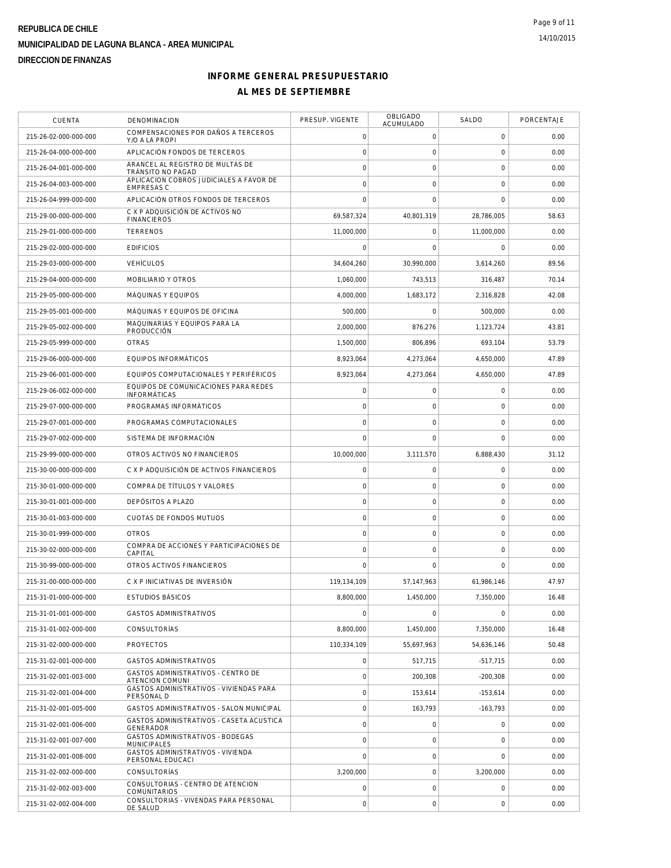| <b>CUENTA</b>         | DENOMINACION                                                 | PRESUP. VIGENTE     | OBLIGADO<br>ACUMULADO | SALDO               | <b>PORCENTAJE</b> |
|-----------------------|--------------------------------------------------------------|---------------------|-----------------------|---------------------|-------------------|
| 215-26-02-000-000-000 | COMPENSACIONES POR DAÑOS A TERCEROS<br>Y/O A LA PROPI        | $\mathbf 0$         | 0                     | 0                   | 0.00              |
| 215-26-04-000-000-000 | APLICACIÓN FONDOS DE TERCEROS                                | $\mathbf 0$         | $\mathbf 0$           | 0                   | 0.00              |
| 215-26-04-001-000-000 | ARANCEL AL REGISTRO DE MULTAS DE<br>TRÁNSITO NO PAGAD        | $\mathbf 0$         | $\mathsf{O}\xspace$   | 0                   | 0.00              |
| 215-26-04-003-000-000 | APLICACION COBROS JUDICIALES A FAVOR DE<br><b>EMPRESAS C</b> | $\mathbf 0$         | $\mathbf 0$           | 0                   | 0.00              |
| 215-26-04-999-000-000 | APLICACIÓN OTROS FONDOS DE TERCEROS                          | $\mathbf 0$         | $\Omega$              | $\mathbf 0$         | 0.00              |
| 215-29-00-000-000-000 | C X P ADQUISICIÓN DE ACTIVOS NO<br><b>FINANCIEROS</b>        | 69,587,324          | 40,801,319            | 28,786,005          | 58.63             |
| 215-29-01-000-000-000 | <b>TERRENOS</b>                                              | 11,000,000          | 0                     | 11,000,000          | 0.00              |
| 215-29-02-000-000-000 | <b>EDIFICIOS</b>                                             | $\mathbf 0$         | 0                     | 0                   | 0.00              |
| 215-29-03-000-000-000 | <b>VEHÍCULOS</b>                                             | 34,604,260          | 30.990.000            | 3,614,260           | 89.56             |
| 215-29-04-000-000-000 | MOBILIARIO Y OTROS                                           | 1,060,000           | 743,513               | 316,487             | 70.14             |
| 215-29-05-000-000-000 | MÁQUINAS Y EQUIPOS                                           | 4,000,000           | 1,683,172             | 2,316,828           | 42.08             |
| 215-29-05-001-000-000 | MÁQUINAS Y EQUIPOS DE OFICINA                                | 500,000             | 0                     | 500,000             | 0.00              |
| 215-29-05-002-000-000 | MAQUINARIAS Y EQUIPOS PARA LA<br>PRODUCCIÓN                  | 2,000,000           | 876,276               | 1.123.724           | 43.81             |
| 215-29-05-999-000-000 | <b>OTRAS</b>                                                 | 1,500,000           | 806,896               | 693,104             | 53.79             |
| 215-29-06-000-000-000 | EQUIPOS INFORMÁTICOS                                         | 8,923,064           | 4,273,064             | 4,650,000           | 47.89             |
| 215-29-06-001-000-000 | EQUIPOS COMPUTACIONALES Y PERIFÉRICOS                        | 8,923,064           | 4,273,064             | 4,650,000           | 47.89             |
| 215-29-06-002-000-000 | FOUIPOS DE COMUNICACIONES PARA REDES<br><b>INFORMÁTICAS</b>  | $\mathsf{O}\xspace$ | 0                     | 0                   | 0.00              |
| 215-29-07-000-000-000 | PROGRAMAS INFORMÁTICOS                                       | $\mathbf 0$         | 0                     | 0                   | 0.00              |
| 215-29-07-001-000-000 | PROGRAMAS COMPUTACIONALES                                    | $\mathbf 0$         | $\mathbf 0$           | 0                   | 0.00              |
| 215-29-07-002-000-000 | SISTEMA DE INFORMACIÓN                                       | $\mathbf 0$         | $\mathbf 0$           | $\mathbf 0$         | 0.00              |
| 215-29-99-000-000-000 | OTROS ACTIVOS NO FINANCIEROS                                 | 10,000,000          | 3,111,570             | 6,888,430           | 31.12             |
| 215-30-00-000-000-000 | C X P ADQUISICIÓN DE ACTIVOS FINANCIEROS                     | $\mathsf{O}\xspace$ | 0                     | 0                   | 0.00              |
| 215-30-01-000-000-000 | COMPRA DE TÍTULOS Y VALORES                                  | $\mathsf{O}\xspace$ | $\mathsf{O}\xspace$   | 0                   | 0.00              |
| 215-30-01-001-000-000 | DEPÓSITOS A PLAZO                                            | $\mathbf 0$         | $\mathsf{O}\xspace$   | 0                   | 0.00              |
| 215-30-01-003-000-000 | CUOTAS DE FONDOS MUTUOS                                      | $\mathbf 0$         | 0                     | $\mathsf{O}\xspace$ | 0.00              |
| 215-30-01-999-000-000 | <b>OTROS</b>                                                 | $\mathbf 0$         | 0                     | 0                   | 0.00              |
| 215-30-02-000-000-000 | COMPRA DE ACCIONES Y PARTICIPACIONES DE<br>CAPITAL           | $\mathbf 0$         | $\mathsf{O}\xspace$   | 0                   | 0.00              |
| 215-30-99-000-000-000 | OTROS ACTIVOS FINANCIEROS                                    | $\mathbf 0$         | $\mathbf 0$           | $\mathbf 0$         | 0.00              |
| 215-31-00-000-000-000 | C X P INICIATIVAS DE INVERSIÓN                               | 119,134,109         | 57,147,963            | 61,986,146          | 47.97             |
| 215-31-01-000-000-000 | <b>ESTUDIOS BÁSICOS</b>                                      | 8,800,000           | 1,450,000             | 7,350,000           | 16.48             |
| 215-31-01-001-000-000 | <b>GASTOS ADMINISTRATIVOS</b>                                | $\mathbf 0$         | 0                     | 0                   | 0.00              |
| 215-31-01-002-000-000 | <b>CONSULTORÍAS</b>                                          | 8,800,000           | 1,450,000             | 7.350.000           | 16.48             |
| 215-31-02-000-000-000 | <b>PROYECTOS</b>                                             | 110,334,109         | 55.697.963            | 54,636,146          | 50.48             |
| 215-31-02-001-000-000 | <b>GASTOS ADMINISTRATIVOS</b>                                | $\mathsf{O}\xspace$ | 517,715               | $-517,715$          | 0.00              |
| 215-31-02-001-003-000 | GASTOS ADMINISTRATIVOS - CENTRO DE<br><b>ATENCION COMUNI</b> | $\mathbf 0$         | 200,308               | $-200,308$          | 0.00              |
| 215-31-02-001-004-000 | GASTOS ADMINISTRATIVOS - VIVIENDAS PARA<br>PERSONAL D        | $\mathbf 0$         | 153,614               | $-153,614$          | 0.00              |
| 215-31-02-001-005-000 | GASTOS ADMINISTRATIVOS - SALON MUNICIPAL                     | $\mathbf 0$         | 163,793               | $-163,793$          | 0.00              |
| 215-31-02-001-006-000 | GASTOS ADMINISTRATIVOS - CASETA ACUSTICA<br><b>GENERADOR</b> | $\mathsf{O}\xspace$ | 0                     | 0                   | 0.00              |
| 215-31-02-001-007-000 | GASTOS ADMINISTRATIVOS - BODEGAS<br><b>MUNICIPALES</b>       | $\overline{0}$      | $\mathbf 0$           | $\mathbf 0$         | 0.00              |
| 215-31-02-001-008-000 | GASTOS ADMINISTRATIVOS - VIVIENDA<br>PERSONAL EDUCACI        | $\mathbf 0$         | $\mathbf 0$           | $\mathbf 0$         | 0.00              |
| 215-31-02-002-000-000 | CONSULTORÍAS                                                 | 3,200,000           | $\mathsf{O}\xspace$   | 3,200,000           | 0.00              |
| 215-31-02-002-003-000 | CONSULTORIAS - CENTRO DE ATENCION<br><b>COMUNITARIOS</b>     | $\mathsf{O}\xspace$ | 0                     | 0                   | 0.00              |
| 215-31-02-002-004-000 | CONSULTORIAS - VIVENDAS PARA PERSONAL<br>DE SALUD            | $\mathbf 0$         | $\mathsf{O}\xspace$   | 0                   | 0.00              |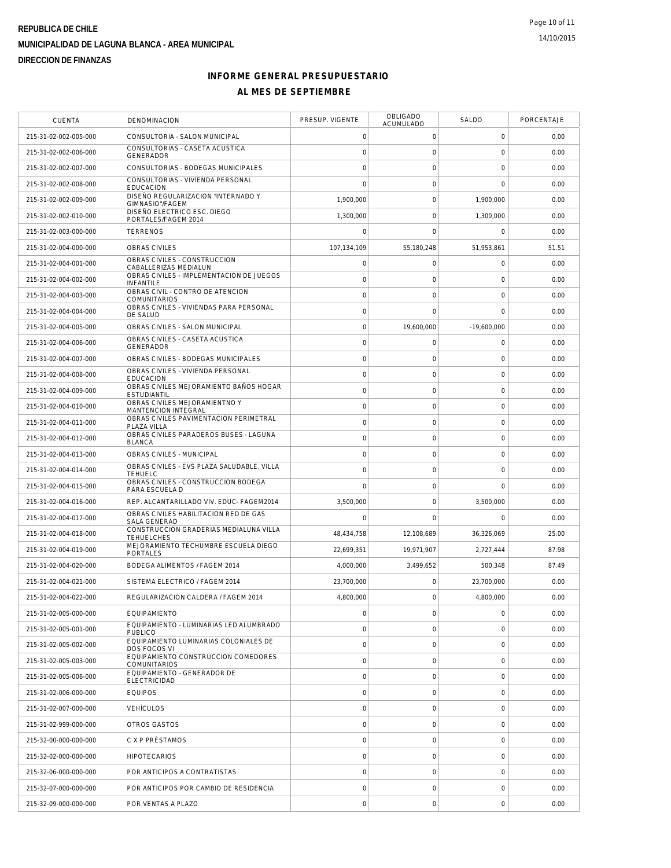| <b>CUENTA</b>         | DENOMINACION                                                 | PRESUP. VIGENTE     | <b>OBLIGADO</b><br>ACUMULADO | SALDO               | PORCENTAJE |
|-----------------------|--------------------------------------------------------------|---------------------|------------------------------|---------------------|------------|
| 215-31-02-002-005-000 | CONSULTORIA - SALON MUNICIPAL                                | 0                   | 0                            | 0                   | 0.00       |
| 215-31-02-002-006-000 | CONSULTORIAS - CASETA ACUSTICA<br>GENERADOR                  | $\mathsf{O}\xspace$ | $\mathsf O$                  | $\mathbf 0$         | 0.00       |
| 215-31-02-002-007-000 | CONSULTORIAS - BODEGAS MUNICIPALES                           | $\mathbf 0$         | $\mathsf{O}\xspace$          | $\mathbf 0$         | 0.00       |
| 215-31-02-002-008-000 | CONSULTORIAS - VIVIENDA PERSONAL<br><b>EDUCACION</b>         | $\mathbf 0$         | $\mathbf 0$                  | $\mathbf 0$         | 0.00       |
| 215-31-02-002-009-000 | DISEÑO REGULARIZACION "INTERNADO Y<br>GIMNASIO"/FAGEM        | 1,900,000           | $\mathbf 0$                  | 1,900,000           | 0.00       |
| 215-31-02-002-010-000 | DISEÑO ELECTRICO ESC. DIEGO<br>PORTALES/FAGEM 2014           | 1,300,000           | $\mathsf{O}\xspace$          | 1,300,000           | 0.00       |
| 215-31-02-003-000-000 | <b>TERRENOS</b>                                              | 0                   | $\mathbf 0$                  | 0                   | 0.00       |
| 215-31-02-004-000-000 | <b>OBRAS CIVILES</b>                                         | 107.134.109         | 55.180.248                   | 51,953,861          | 51.51      |
| 215-31-02-004-001-000 | OBRAS CIVILES - CONSTRUCCION<br>CABALLERIZAS MEDIALUN        | $\mathbf 0$         | $\mathsf{O}\xspace$          | $\mathbf 0$         | 0.00       |
| 215-31-02-004-002-000 | OBRAS CIVILES - IMPLEMENTACION DE JUEGOS<br>INFANTILE        | $\mathbf 0$         | $\mathsf{O}\xspace$          | $\mathbf 0$         | 0.00       |
| 215-31-02-004-003-000 | OBRAS CIVIL - CONTRO DE ATENCION<br>COMUNITARIOS             | $\circ$             | $\mathbf 0$                  | $\mathbf 0$         | 0.00       |
| 215-31-02-004-004-000 | OBRAS CIVILES - VIVIENDAS PARA PERSONAL<br>DE SALUD          | $\mathbf 0$         | $\mathsf{O}\xspace$          | $\mathbf 0$         | 0.00       |
| 215-31-02-004-005-000 | OBRAS CIVILES - SALON MUNICIPAL                              | $\mathsf{O}\xspace$ | 19,600,000                   | $-19,600,000$       | 0.00       |
| 215-31-02-004-006-000 | OBRAS CIVILES - CASETA ACUSTICA                              | $\mathsf{O}\xspace$ | $\mathsf{O}\xspace$          | $\mathbf 0$         | 0.00       |
| 215-31-02-004-007-000 | GENERADOR<br>OBRAS CIVILES - BODEGAS MUNICIPALES             | $\mathbf 0$         | $\mathsf{O}\xspace$          | $\mathbf 0$         | 0.00       |
| 215-31-02-004-008-000 | OBRAS CIVILES - VIVIENDA PERSONAL<br><b>EDUCACION</b>        | $\mathsf{O}\xspace$ | $\mathsf{O}\xspace$          | $\mathbf 0$         | 0.00       |
| 215-31-02-004-009-000 | OBRAS CIVILES MEJORAMIENTO BAÑOS HOGAR<br><b>ESTUDIANTIL</b> | $\circ$             | $\mathsf{O}\xspace$          | $\mathbf 0$         | 0.00       |
| 215-31-02-004-010-000 | OBRAS CIVILES MEJORAMIENTNO Y<br>MANTENCION INTEGRAL         | $\mathsf{O}\xspace$ | $\mathsf{O}\xspace$          | $\mathbf 0$         | 0.00       |
| 215-31-02-004-011-000 | OBRAS CIVILES PAVIMENTACION PERIMETRAL<br>PLAZA VILLA        | $\mathsf{O}\xspace$ | $\mathsf{O}\xspace$          | $\mathsf{O}\xspace$ | 0.00       |
| 215-31-02-004-012-000 | OBRAS CIVILES PARADEROS BUSES - LAGUNA<br><b>BLANCA</b>      | $\mathsf O$         | $\mathsf{O}\xspace$          | $\mathbf 0$         | 0.00       |
| 215-31-02-004-013-000 | OBRAS CIVILES - MUNICIPAL                                    | $\mathbf 0$         | $\mathsf{O}\xspace$          | $\mathbf 0$         | 0.00       |
| 215-31-02-004-014-000 | OBRAS CIVILES - EVS PLAZA SALUDABLE, VILLA<br><b>TEHUELC</b> | $\mathbf 0$         | $\mathsf{O}\xspace$          | $\mathbf 0$         | 0.00       |
| 215-31-02-004-015-000 | OBRAS CIVILES - CONSTRUCCION BODEGA<br>PARA ESCUELA D        | $\mathbf 0$         | $\mathbf 0$                  | $\mathbf 0$         | 0.00       |
| 215-31-02-004-016-000 | REP. ALCANTARILLADO VIV. EDUC- FAGEM2014                     | 3,500,000           | $\mathsf{O}\xspace$          | 3,500,000           | 0.00       |
| 215-31-02-004-017-000 | OBRAS CIVILES HABILITACION RED DE GAS<br>SALA GENERAD        | $\mathbf 0$         | 0                            | 0                   | 0.00       |
| 215-31-02-004-018-000 | CONSTRUCCION GRADERIAS MEDIALUNA VILLA<br><b>TEHUELCHES</b>  | 48,434,758          | 12,108,689                   | 36,326,069          | 25.00      |
| 215-31-02-004-019-000 | MEJORAMIENTO TECHUMBRE ESCUELA DIEGO<br>PORTALES             | 22,699,351          | 19,971,907                   | 2,727,444           | 87.98      |
| 215-31-02-004-020-000 | BODEGA ALIMENTOS / FAGEM 2014                                | 4,000,000           | 3,499,652                    | 500,348             | 87.49      |
| 215-31-02-004-021-000 | SISTEMA ELECTRICO / FAGEM 2014                               | 23,700,000          | 0                            | 23,700,000          | 0.00       |
| 215-31-02-004-022-000 | REGULARIZACION CALDERA / FAGEM 2014                          | 4,800,000           | $\mathsf{O}\xspace$          | 4,800,000           | 0.00       |
| 215-31-02-005-000-000 | EQUIPAMIENTO                                                 | $\mathbf 0$         | $\mathsf O$                  | $\mathbf 0$         | 0.00       |
| 215-31-02-005-001-000 | EQUIPAMIENTO - LUMINARIAS LED ALUMBRADO<br><b>PUBLICO</b>    | $\mathbf 0$         | $\mathbf 0$                  | 0                   | 0.00       |
| 215-31-02-005-002-000 | EQUIPAMIENTO LUMINARIAS COLONIALES DE<br>DOS FOCOS VI        | $\circ$             | $\mathbf 0$                  | $\mathbf 0$         | 0.00       |
| 215-31-02-005-003-000 | EQUIPAMIENTO CONSTRUCCION COMEDORES<br><b>COMUNITARIOS</b>   | $\mathbf 0$         | $\mathbf 0$                  | $\mathbf 0$         | 0.00       |
| 215-31-02-005-006-000 | EQUIPAMIENTO - GENERADOR DE<br><b>ELECTRICIDAD</b>           | $\circ$             | $\mathbf 0$                  | $\mathbf 0$         | 0.00       |
| 215-31-02-006-000-000 | <b>EQUIPOS</b>                                               | $\circ$             | $\mathsf{O}\xspace$          | $\mathbf 0$         | 0.00       |
| 215-31-02-007-000-000 | <b>VEHÍCULOS</b>                                             | $\mathsf{O}\xspace$ | $\mathbf 0$                  | 0                   | 0.00       |
| 215-31-02-999-000-000 | OTROS GASTOS                                                 | $\circ$             | $\mathsf O$                  | $\mathbf 0$         | 0.00       |
| 215-32-00-000-000-000 | C X P PRÉSTAMOS                                              | $\mathbf 0$         | $\mathsf{O}\xspace$          | $\mathbf 0$         | 0.00       |
| 215-32-02-000-000-000 | <b>HIPOTECARIOS</b>                                          | $\mathsf{O}\xspace$ | $\mathbf 0$                  | $\mathbf 0$         | 0.00       |
| 215-32-06-000-000-000 | POR ANTICIPOS A CONTRATISTAS                                 | $\circ$             | $\mathbf 0$                  | $\mathbf 0$         | 0.00       |
| 215-32-07-000-000-000 | POR ANTICIPOS POR CAMBIO DE RESIDENCIA                       | $\mathsf{O}\xspace$ | $\mathsf O$                  | $\mathbf 0$         | 0.00       |
| 215-32-09-000-000-000 | POR VENTAS A PLAZO                                           | $\mathsf{O}\xspace$ | $\boldsymbol{0}$             | $\mathsf{O}\xspace$ | 0.00       |